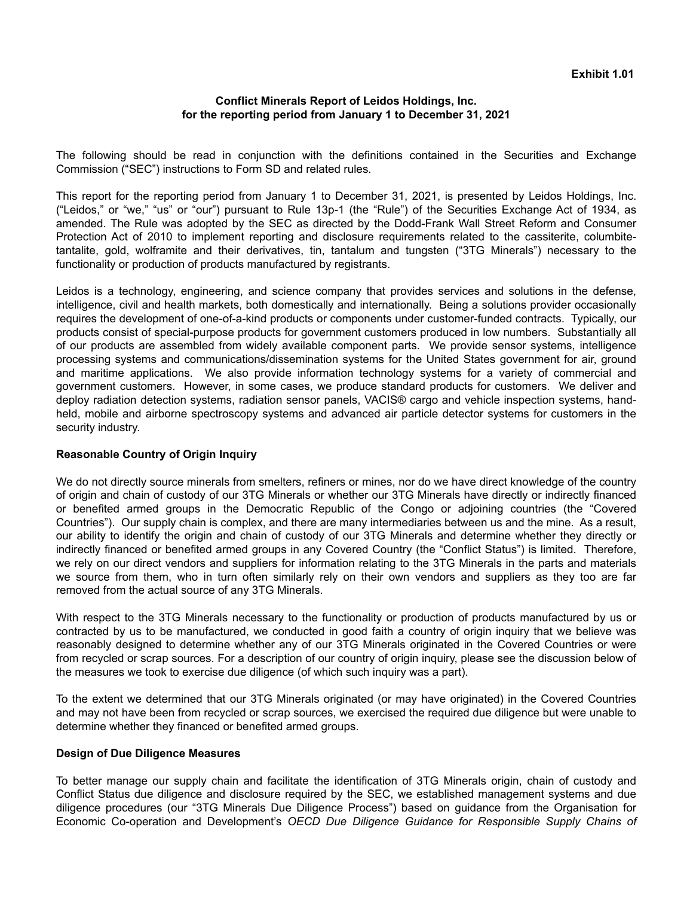## **Conflict Minerals Report of Leidos Holdings, Inc. for the reporting period from January 1 to December 31, 2021**

The following should be read in conjunction with the definitions contained in the Securities and Exchange Commission ("SEC") instructions to Form SD and related rules.

This report for the reporting period from January 1 to December 31, 2021, is presented by Leidos Holdings, Inc. ("Leidos," or "we," "us" or "our") pursuant to Rule 13p-1 (the "Rule") of the Securities Exchange Act of 1934, as amended. The Rule was adopted by the SEC as directed by the Dodd-Frank Wall Street Reform and Consumer Protection Act of 2010 to implement reporting and disclosure requirements related to the cassiterite, columbitetantalite, gold, wolframite and their derivatives, tin, tantalum and tungsten ("3TG Minerals") necessary to the functionality or production of products manufactured by registrants.

Leidos is a technology, engineering, and science company that provides services and solutions in the defense, intelligence, civil and health markets, both domestically and internationally. Being a solutions provider occasionally requires the development of one-of-a-kind products or components under customer-funded contracts. Typically, our products consist of special-purpose products for government customers produced in low numbers. Substantially all of our products are assembled from widely available component parts. We provide sensor systems, intelligence processing systems and communications/dissemination systems for the United States government for air, ground and maritime applications. We also provide information technology systems for a variety of commercial and government customers. However, in some cases, we produce standard products for customers. We deliver and deploy radiation detection systems, radiation sensor panels, VACIS® cargo and vehicle inspection systems, handheld, mobile and airborne spectroscopy systems and advanced air particle detector systems for customers in the security industry.

#### **Reasonable Country of Origin Inquiry**

We do not directly source minerals from smelters, refiners or mines, nor do we have direct knowledge of the country of origin and chain of custody of our 3TG Minerals or whether our 3TG Minerals have directly or indirectly financed or benefited armed groups in the Democratic Republic of the Congo or adjoining countries (the "Covered Countries"). Our supply chain is complex, and there are many intermediaries between us and the mine. As a result, our ability to identify the origin and chain of custody of our 3TG Minerals and determine whether they directly or indirectly financed or benefited armed groups in any Covered Country (the "Conflict Status") is limited. Therefore, we rely on our direct vendors and suppliers for information relating to the 3TG Minerals in the parts and materials we source from them, who in turn often similarly rely on their own vendors and suppliers as they too are far removed from the actual source of any 3TG Minerals.

With respect to the 3TG Minerals necessary to the functionality or production of products manufactured by us or contracted by us to be manufactured, we conducted in good faith a country of origin inquiry that we believe was reasonably designed to determine whether any of our 3TG Minerals originated in the Covered Countries or were from recycled or scrap sources. For a description of our country of origin inquiry, please see the discussion below of the measures we took to exercise due diligence (of which such inquiry was a part).

To the extent we determined that our 3TG Minerals originated (or may have originated) in the Covered Countries and may not have been from recycled or scrap sources, we exercised the required due diligence but were unable to determine whether they financed or benefited armed groups.

## **Design of Due Diligence Measures**

To better manage our supply chain and facilitate the identification of 3TG Minerals origin, chain of custody and Conflict Status due diligence and disclosure required by the SEC, we established management systems and due diligence procedures (our "3TG Minerals Due Diligence Process") based on guidance from the Organisation for Economic Co-operation and Development's *OECD Due Diligence Guidance for Responsible Supply Chains of*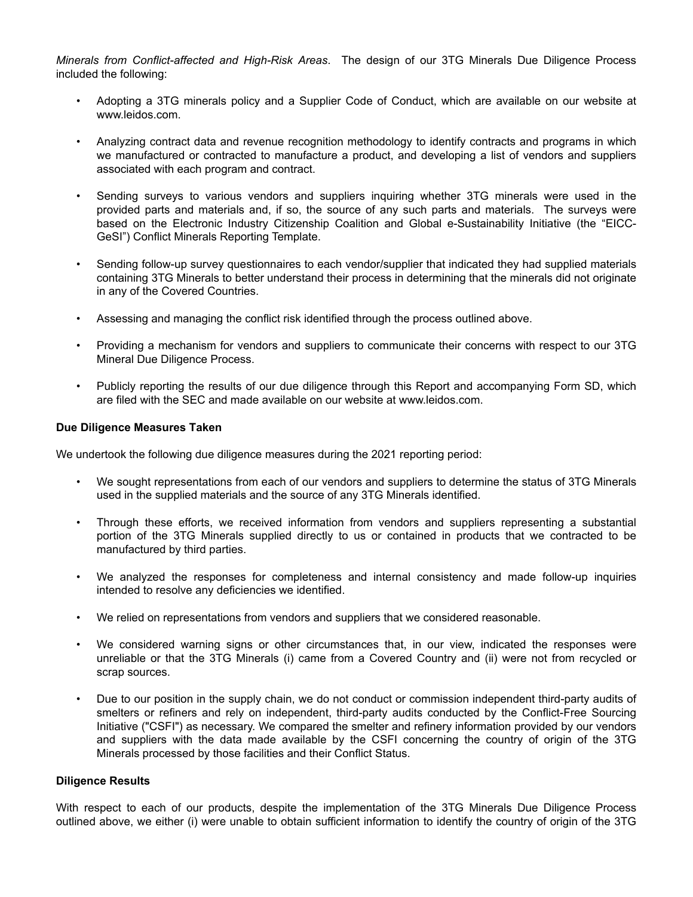*Minerals from Conflict-affected and High-Risk Areas*. The design of our 3TG Minerals Due Diligence Process included the following:

- Adopting a 3TG minerals policy and a Supplier Code of Conduct, which are available on our website at www.leidos.com.
- Analyzing contract data and revenue recognition methodology to identify contracts and programs in which we manufactured or contracted to manufacture a product, and developing a list of vendors and suppliers associated with each program and contract.
- Sending surveys to various vendors and suppliers inquiring whether 3TG minerals were used in the provided parts and materials and, if so, the source of any such parts and materials. The surveys were based on the Electronic Industry Citizenship Coalition and Global e-Sustainability Initiative (the "EICC-GeSI") Conflict Minerals Reporting Template.
- Sending follow-up survey questionnaires to each vendor/supplier that indicated they had supplied materials containing 3TG Minerals to better understand their process in determining that the minerals did not originate in any of the Covered Countries.
- Assessing and managing the conflict risk identified through the process outlined above.
- Providing a mechanism for vendors and suppliers to communicate their concerns with respect to our 3TG Mineral Due Diligence Process.
- Publicly reporting the results of our due diligence through this Report and accompanying Form SD, which are filed with the SEC and made available on our website at www.leidos.com.

#### **Due Diligence Measures Taken**

We undertook the following due diligence measures during the 2021 reporting period:

- We sought representations from each of our vendors and suppliers to determine the status of 3TG Minerals used in the supplied materials and the source of any 3TG Minerals identified.
- Through these efforts, we received information from vendors and suppliers representing a substantial portion of the 3TG Minerals supplied directly to us or contained in products that we contracted to be manufactured by third parties.
- We analyzed the responses for completeness and internal consistency and made follow-up inquiries intended to resolve any deficiencies we identified.
- We relied on representations from vendors and suppliers that we considered reasonable.
- We considered warning signs or other circumstances that, in our view, indicated the responses were unreliable or that the 3TG Minerals (i) came from a Covered Country and (ii) were not from recycled or scrap sources.
- Due to our position in the supply chain, we do not conduct or commission independent third-party audits of smelters or refiners and rely on independent, third-party audits conducted by the Conflict-Free Sourcing Initiative ("CSFI") as necessary. We compared the smelter and refinery information provided by our vendors and suppliers with the data made available by the CSFI concerning the country of origin of the 3TG Minerals processed by those facilities and their Conflict Status.

#### **Diligence Results**

With respect to each of our products, despite the implementation of the 3TG Minerals Due Diligence Process outlined above, we either (i) were unable to obtain sufficient information to identify the country of origin of the 3TG